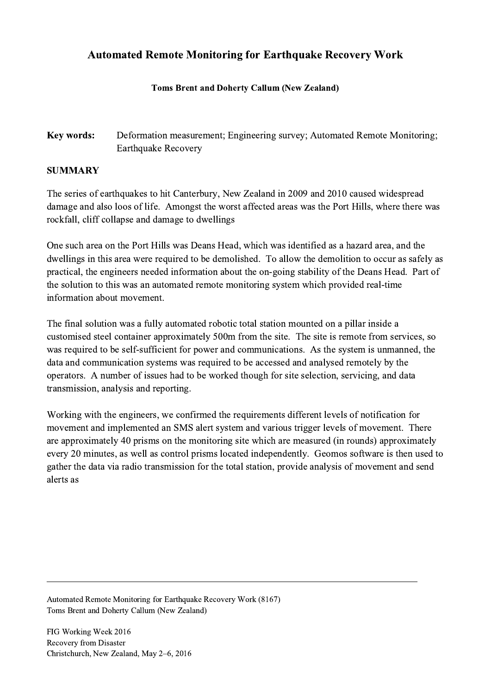## Automated Remote Monitoring for Earthquake Recovery Work

## Toms Brent and Doherty Callum (New Zealand)

Key words: Deformation measurement; Engineering survey; Automated Remote Monitoring; Earthquake Recovery

## SUMMARY

The series of earthquakes to hit Canterbury, New Zealand in 2009 and 2010 caused widespread damage and also loos of life. Amongst the worst affected areas was the Port Hills, where there was rockfall, cliff collapse and damage to dwellings

One such area on the Port Hills was Deans Head, which was identified as a hazard area, and the dwellings in this area were required to be demolished. To allow the demolition to occur as safely as practical, the engineers needed information about the on-going stability of the Deans Head. Part of the solution to this was an automated remote monitoring system which provided real-time information about movement.

The final solution was a fully automated robotic total station mounted on a pillar inside a customised steel container approximately 500m from the site. The site is remote from services, so was required to be self-sufficient for power and communications. As the system is unmanned, the data and communication systems was required to be accessed and analysed remotely by the operators. A number of issues had to be worked though for site selection, servicing, and data transmission, analysis and reporting.

Working with the engineers, we confirmed the requirements different levels of notification for movement and implemented an SMS alert system and various trigger levels of movement. There are approximately 40 prisms on the monitoring site which are measured (in rounds) approximately every 20 minutes, as well as control prisms located independently. Geomos software is then used to gather the data via radio transmission for the total station, provide analysis of movement and send alerts as

 $\mathcal{L}_\mathcal{L} = \{ \mathcal{L}_\mathcal{L} = \{ \mathcal{L}_\mathcal{L} = \{ \mathcal{L}_\mathcal{L} = \{ \mathcal{L}_\mathcal{L} = \{ \mathcal{L}_\mathcal{L} = \{ \mathcal{L}_\mathcal{L} = \{ \mathcal{L}_\mathcal{L} = \{ \mathcal{L}_\mathcal{L} = \{ \mathcal{L}_\mathcal{L} = \{ \mathcal{L}_\mathcal{L} = \{ \mathcal{L}_\mathcal{L} = \{ \mathcal{L}_\mathcal{L} = \{ \mathcal{L}_\mathcal{L} = \{ \mathcal{L}_\mathcal{$ 

Automated Remote Monitoring for Earthquake Recovery Work (8167) Toms Brent and Doherty Callum (New Zealand)

FIG Working Week 2016 Recovery from Disaster Christchurch, New Zealand, May 2–6, 2016